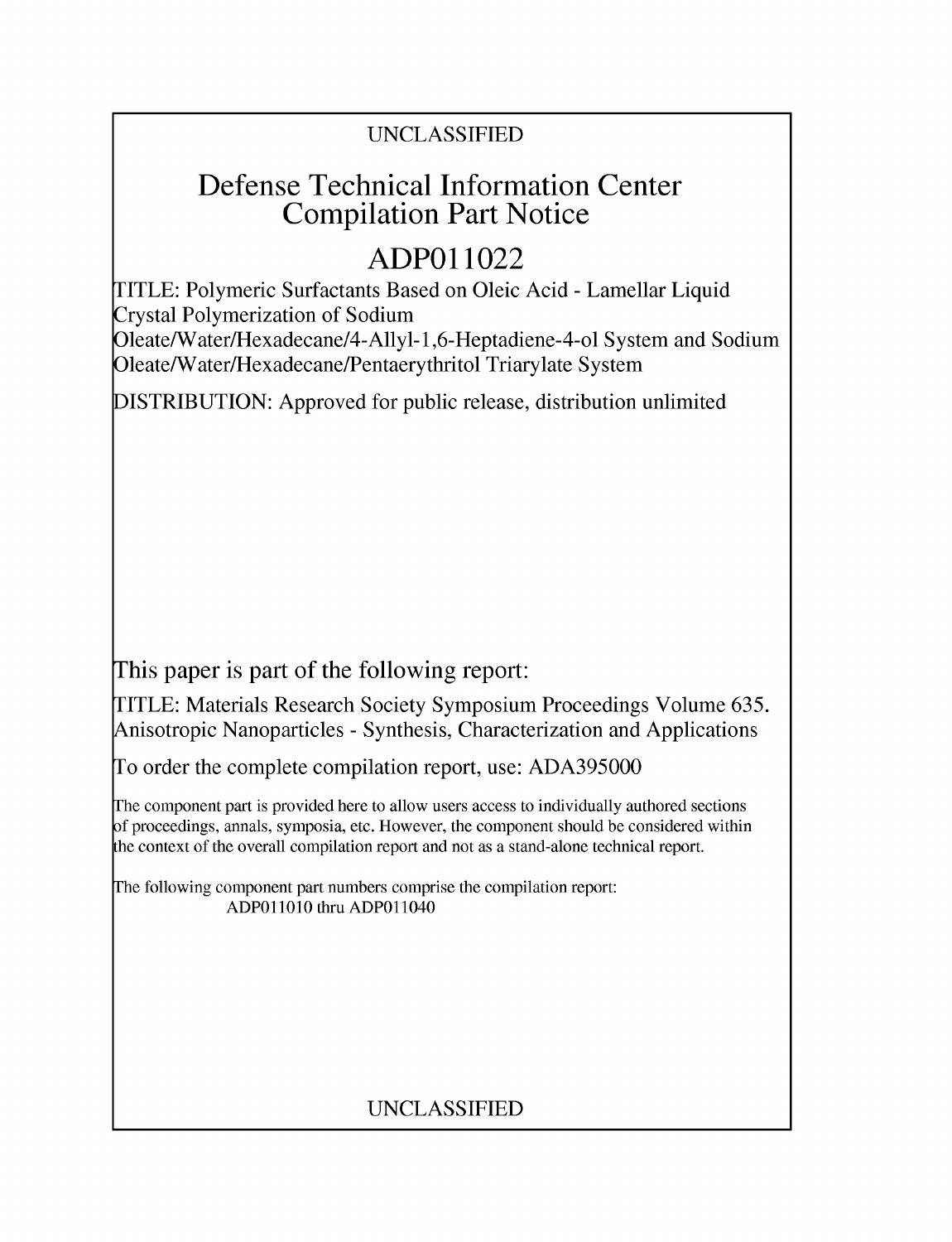## UNCLASSIFIED

## **Defense Technical Information Center Compilation Part Notice**

# **ADPO 11022**

TITLE: Polymeric Surfactants Based on Oleic Acid - Lamellar Liquid Crystal Polymerization of Sodium

Oleate/Water/Hexadecane/4-Allyl-1,6-Heptadiene-4-ol System and Sodium Oleate/Water/Hexadecane/Pentaerythritol Triarylate System

DISTRIBUTION: Approved for public release, distribution unlimited

This paper is part of the following report:

TITLE: Materials Research Society Symposium Proceedings Volume 635. Anisotropic Nanoparticles - Synthesis, Characterization and Applications

To order the complete compilation report, use: ADA395000

The component part is provided here to allow users access to individually authored sections f proceedings, annals, symposia, etc. However, the component should be considered within [he context of the overall compilation report and not as a stand-alone technical report.

The following component part numbers comprise the compilation report: **ADPO11010** thru ADPO11040

### UNCLASSIFIED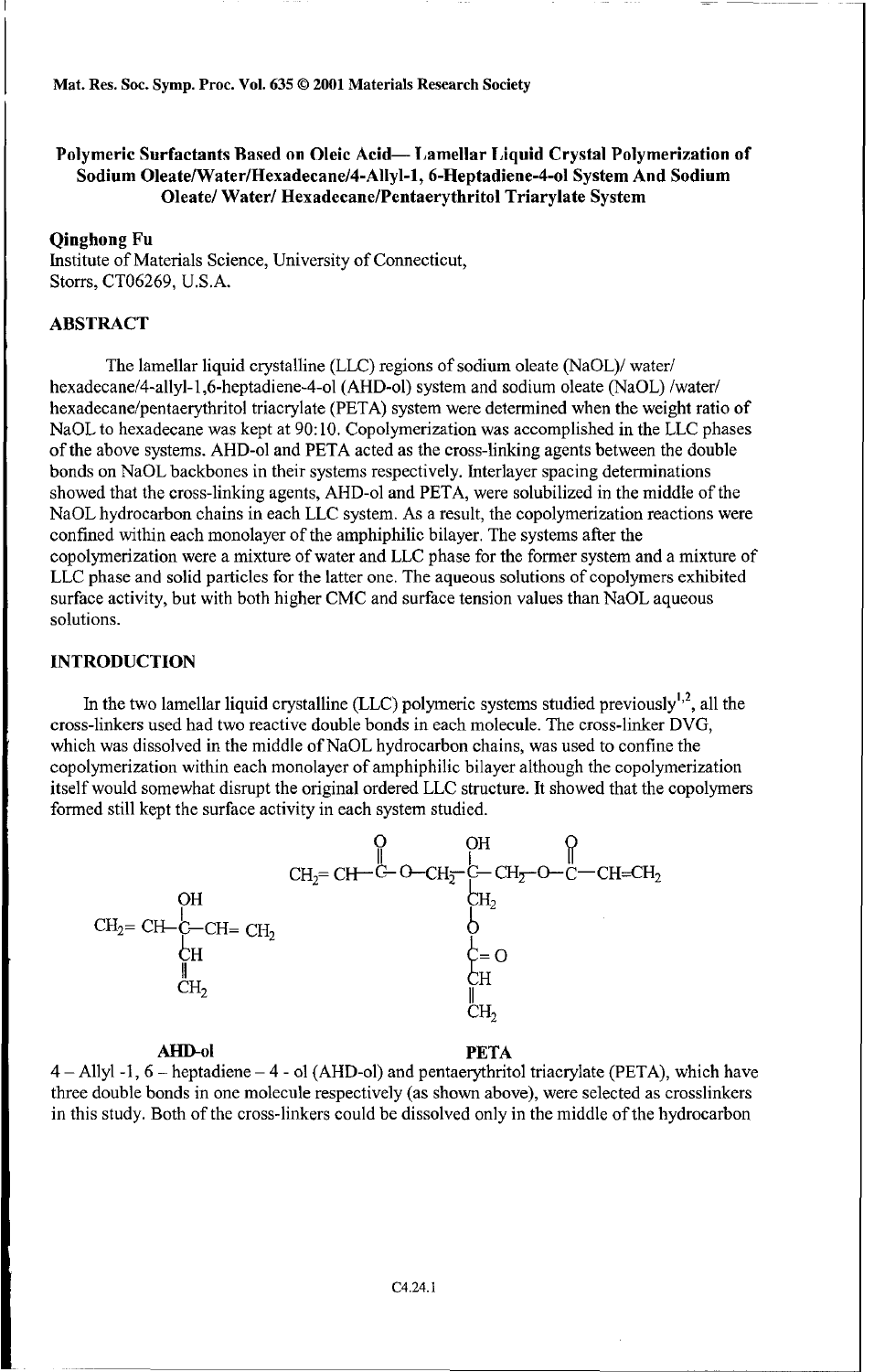**Mat. Res. Soc. Symp. Proc. Vol. 635 0 2001 Materials Research Society**

#### **Polymeric Surfactants Based on Oleic Acid- Lamellar Liquid Crystal Polymerization of Sodium Oleate/Water/Hexadecane/4-Allyl-1, 6-Heptadiene-4-ol System And Sodium Oleate/ Water/ Hexadecanc/Pentaerythritol Triarylate System**

#### **Qinghong Fu**

Institute of Materials Science, University of Connecticut, Storrs, **CT06269,** U.S.A.

#### **ABSTRACT**

**The lamellar liquid crystalline (LLC) regions of sodium oleate** (NaOL)/ water/ hexadecane/4-allyl-1,6-heptadiene-4-ol (AHD-ol) system and sodium oleate (NaOL) /water/ hexadecane/pentaerythritol triacrylate **(PETA)** system were determined when the weight ratio of NaOL to hexadecane was kept at **90:10.** Copolymerization was accomplished in the **LLC** phases of the above systems. AHD-ol and **PETA** acted as the cross-linking agents between the double bonds on NaOL backbones in their systems respectively. Interlayer spacing determinations showed that the cross-linking agents, AHD-ol and **PETA,** were solubilized in the middle of the NaOL hydrocarbon chains in each **LLC** system. As a result, the copolymerization reactions were confined within each monolayer of the amphiphilic bilayer. The systems after the copolymerization were a mixture of water and **LLC** phase for the former system and a mixture of **LLC** phase and solid particles for the latter one. The aqueous solutions of copolymers exhibited surface activity, but with both higher **CMC** and surface tension values than NaOL aqueous solutions.

#### **INTRODUCTION**

In the two lamellar liquid crystalline  $(LLC)$  polymeric systems studied previously<sup>1,2</sup>, all the cross-linkers used had two reactive double bonds in each molecule. The cross-linker DVG, which was dissolved in the middle of NaOL hydrocarbon chains, was used to confine the copolymerization within each monolayer of amphiphilic bilayer although the copolymerization itself would somewhat disrupt the original ordered LLC structure. It showed that the copolymers formed still kept the surface activity in each system studied.



**AFID-ol PETA**

**4 - Allyl -1, 6 - heptadiene -** 4 **-** ol (AHD-ol) and pentaerythritol triacrylate **(PETA),** which have three double bonds in one molecule respectively (as shown above), were selected as crosslinkers in this study. Both of the cross-linkers could **be** dissolved only in the middle of the hydrocarbon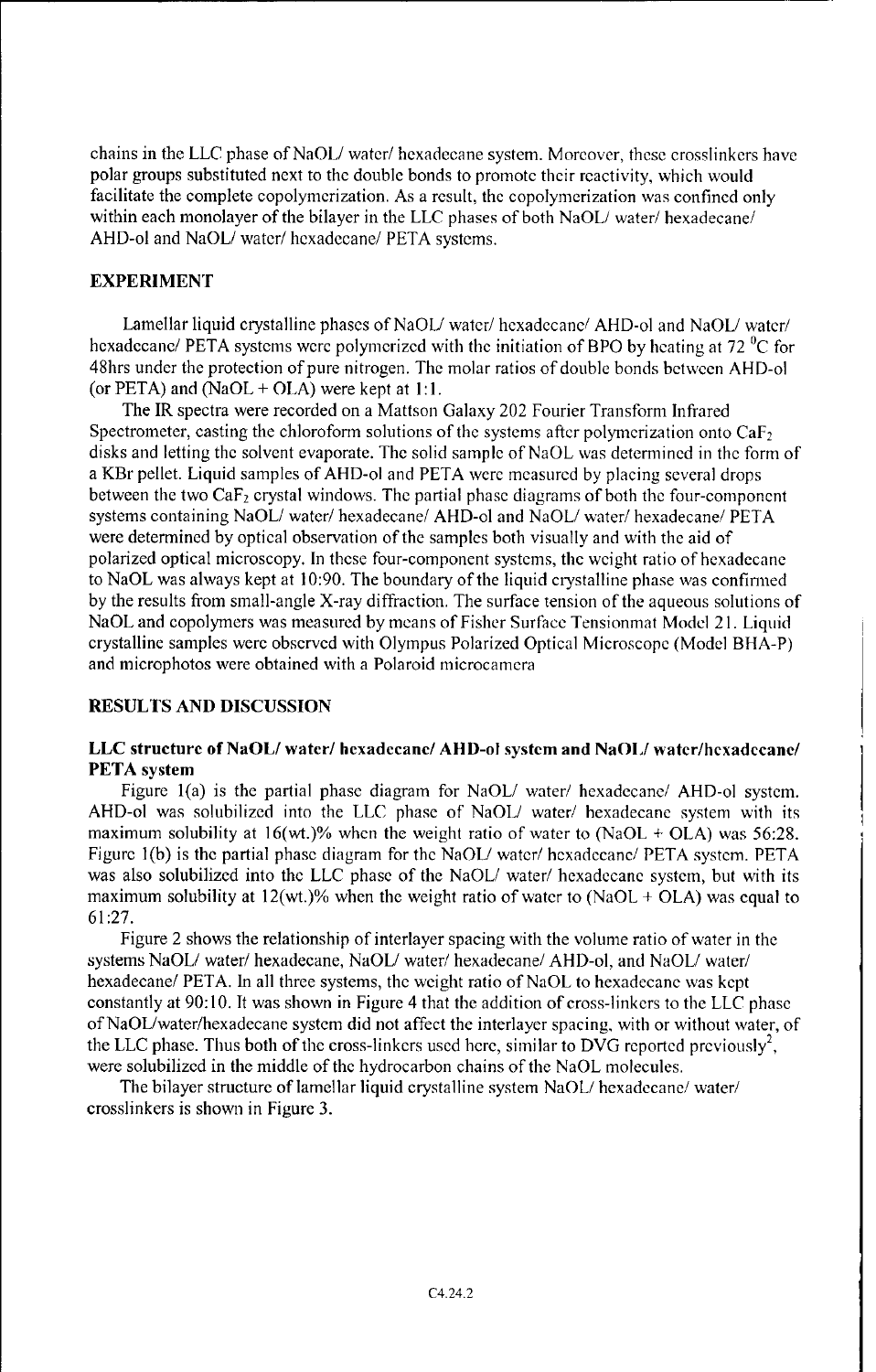chains in the **LLC** phase of NaOL/ water/ hexadeeane system. Moreover, these crosslinkers have polar groups substituted next to the double bonds to promote their reactivity, which would facilitate the complete copolymerization. As a result, the copolymerization was confined only within each monolayer of the bilayer in the LLC phases of both NaOL/ water/ hexadecane/ AHD-ol and NaOL/ water/ hexadecane/ PETA systems.

#### **EXPERIMENT**

Lamellar liquid crystalline phases of NaOL/ water/ hexadecane/ AHD-ol and NaOL/ water/ hexadecane/ PETA systems were polymerized with the initiation of BPO by heating at 72 <sup>o</sup>C for 48hrs under the protection of pure nitrogen. The molar ratios of double bonds between AHD-ol (or PETA) and  $(NaOL + OLA)$  were kept at 1:1.

The IR spectra were recorded on a Mattson Galaxy 202 Fourier Transform Infrared Spectrometer, casting the chloroform solutions of the systems after polymerization onto  $\text{CaF}_2$ disks and letting the solvent evaporate. The solid sample of NaOL was determined in the form of a KBr pellet. Liquid samples of AHD-ol and PETA were measured by placing several drops between the two  $CaF<sub>2</sub>$  crystal windows. The partial phase diagrams of both the four-component systems containing NaOL/ water/ hexadecane/ AHD-ol and NaOL/ water/ hexadecane/ PETA were determined by optical observation of the samples both visually and with the aid of polarized optical microscopy. In these four-component systems, the weight ratio of hexadecane to NaOL was always kept at 10:90. The boundary of the liquid crystalline phase was confined by the results from small-angle X-ray diffraction. The surface tension of the aqueous solutions of NaOL and copolymers was measured by means of Fisher Surface Tensionmat Model 21. Liquid crystalline samples were observed with Olympus Polarized Optical Microscope (Model BHA-P) and microphotos were obtained with a Polaroid microcamera

#### **RESULTS AND DISCUSSION**

#### **LLC structure of NaOL/ water/ hexadecanc/ AHD-ol system and NaOIJ watcr/hexadccane/ PETA** system

Figure 1(a) is the partial phase diagram for NaOL/ water/ hexadecane/ AHD-ol system. AHD-ol was solubilized into the **LLC** phase of NaOL/ water/ hexadecane system with its maximum solubility at  $16(wt.)\%$  when the weight ratio of water to (NaOL + OLA) was 56:28. Figure  $I(b)$  is the partial phase diagram for the NaOL/ water/ hexadecane/ PETA system. PETA was also solubilized into the LLC phase of the NaOL/ water/ hexadecane system, but with its maximum solubility at 12(wt.)% when the weight ratio of water to (NaOL **+** OLA) was equal to 61:27.

Figure 2 shows the relationship of interlayer spacing with the volume ratio of water in the systems NaOL/ water/ hexadecane, NaOL/ water/ hexadecane/ AHD-ol, and NaOL/ water/ hexadecane/ PETA. In all three systems, the weight ratio of NaOL to hexadecane was kept constantly at 90:10. It was shown in Figure 4 that the addition of cross-linkers to the **LLC** phase of NaOL/water/hexadecane system did not affect the interlayer spacing, with or without water, of the LLC phase. Thus both of the cross-linkers used here, similar to DVG reported previously<sup>2</sup>, were solubilized in the middle of the hydrocarbon chains of the NaOL molecules.

The bilayer structure of lamellar liquid crystalline system NaOL/ hexadecane/ water/ crosslinkers is shown in Figure 3.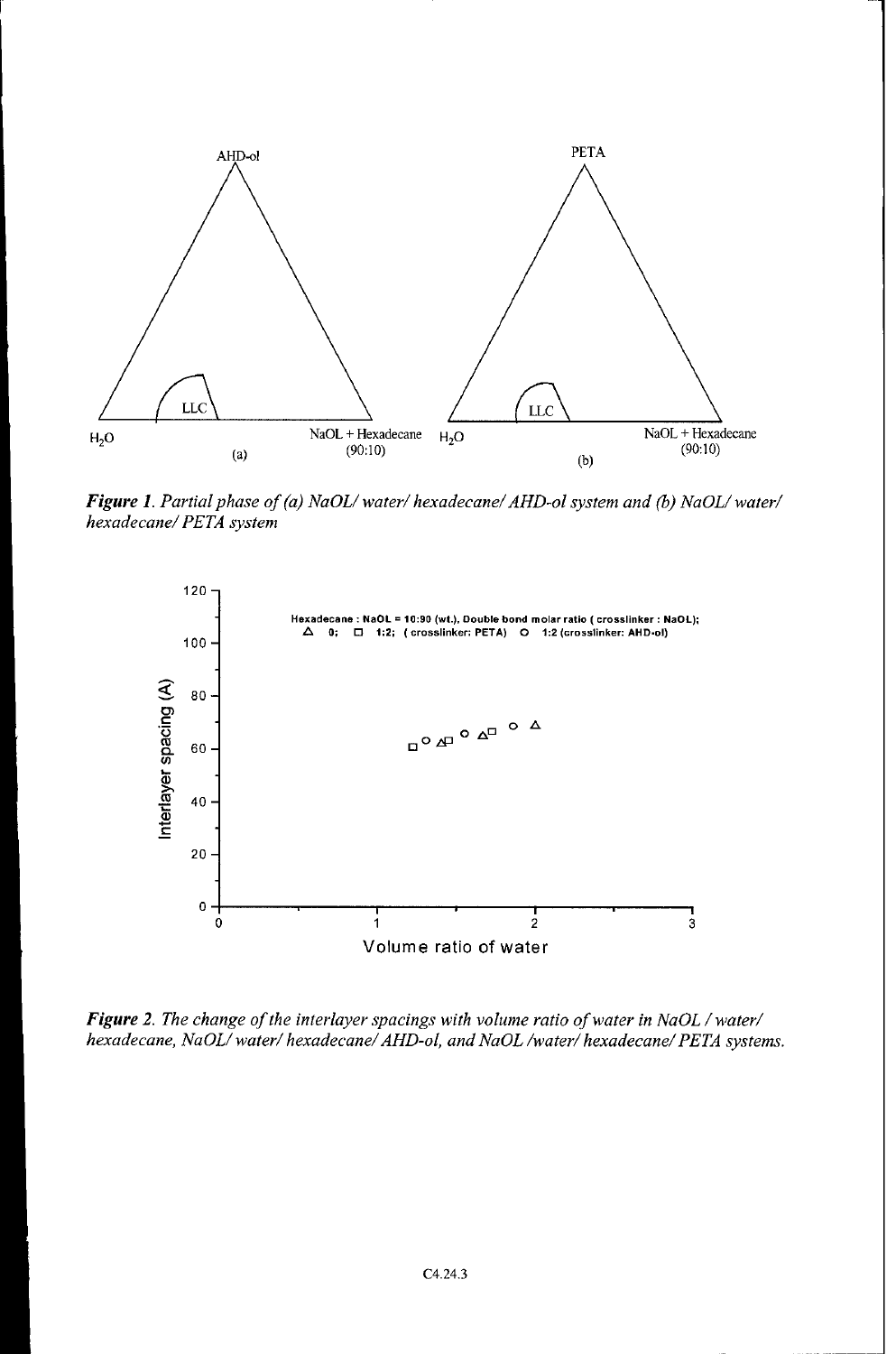

*Figure 1. Partial phase of (a) NaOL/ water/ hexadecane/AHD-ol system and (b) NaOL/ water! hexadecane/ PETA system*



*Figure 2. The change of the interlayer spacings with volume ratio of water in NaOL /water! hexadecane, NaOL/ water! hexadecane/AHD-ol, and NaOL Iwaterl hexadecane/PETA systems.*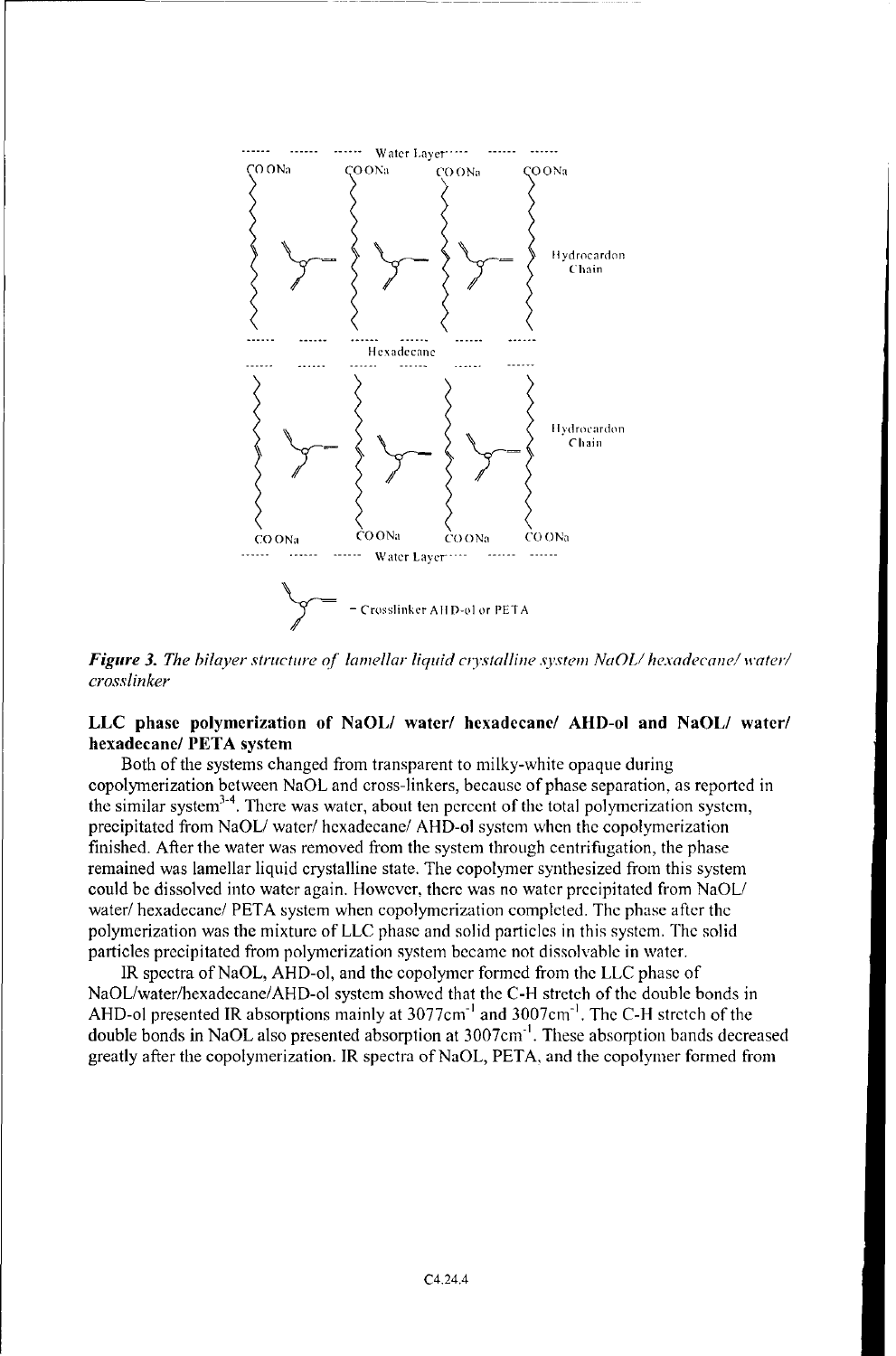

*Figure 3. The bilayer structure of lamellar liquid crystalline system NaOL/ hexadecane/ water/ crosslinker*

#### **LLC phase polymerization of NaOL/ water/ hexadecane/ AHD-ol and NaOL/ water/ hexadecane/ PETA** system

Both of the systems changed from transparent to milky-white opaque during copolymerization between NaOL and cross-linkers, because of phase separation, as reported in the similar system<sup>3-4</sup>. There was water, about ten percent of the total polymerization system, precipitated from NaOL/ water/ hexadecane/ AHD-ol system when the copolymerization finished. After the water was removed from the system through centrifigation, the phase remained was lamellar liquid crystalline state. The copolymer synthesized from this system could be dissolved into water again. However. there was no water precipitated from NaOL/ water/ hexadecane/ PETA system when copolymerization completed. The phase after the polymerization was the mixture of LLC phase and solid particles in this system. The solid particles precipitated from polymerization system became not dissolvable in water.

IR spectra of NaOL, AHD-ol, and the copolymer formed from the LLC phase of NaOL/water/hexadecane/AHD-ol system showed that the C-H stretch of the double bonds in AHD-ol presented IR absorptions mainly at 3077cm<sup>-1</sup> and 3007cm<sup>-1</sup>. The C-H stretch of the double bonds in NaOL also presented absorption at 3007cm<sup>-1</sup>. These absorption bands decreased greatly after the copolymerization. IR spectra of NaOL, PETA, and the copolymer formed from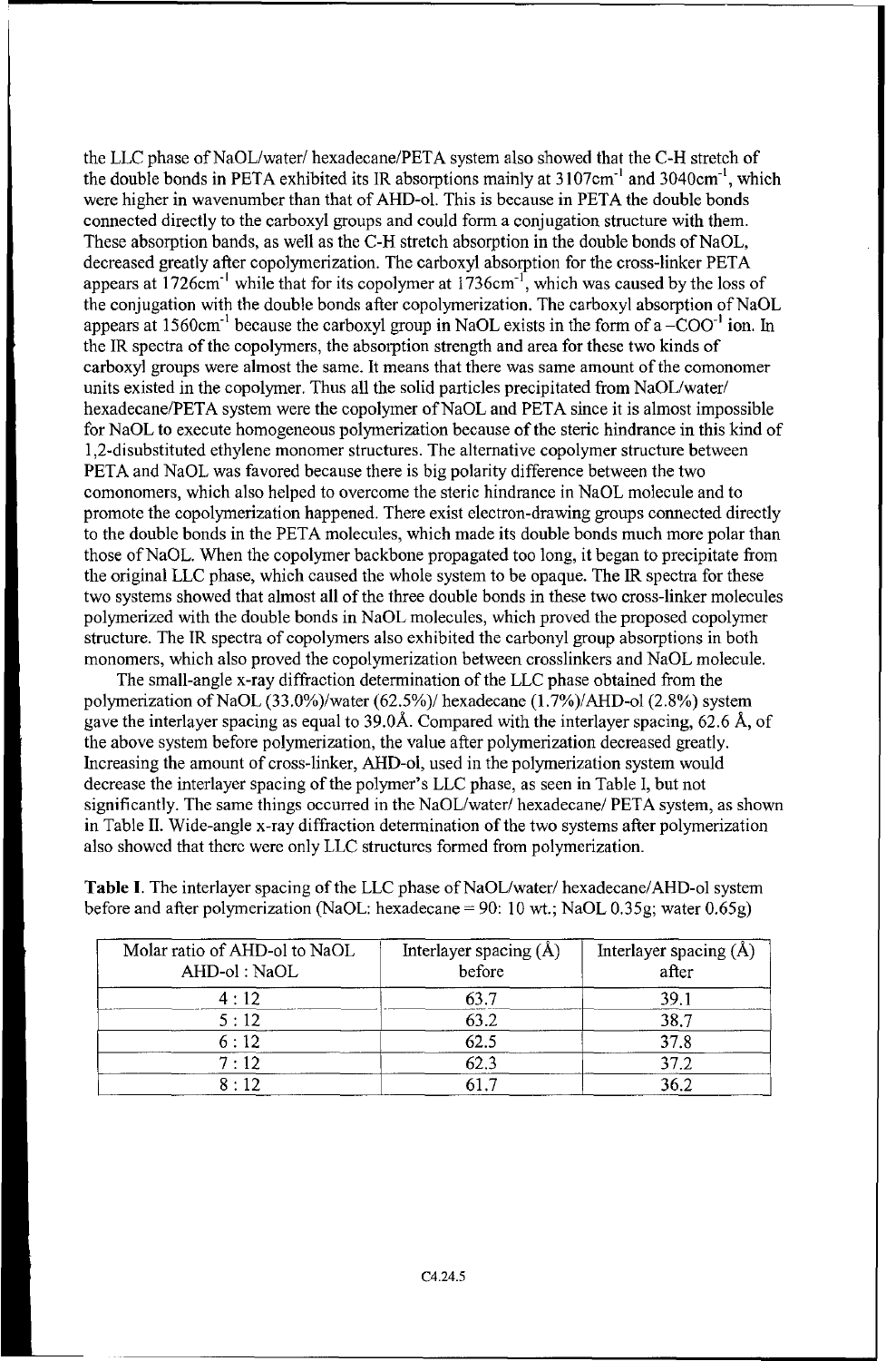the LLC phase of NaOL/water/ hexadecane/PETA system also showed that the C-H stretch of the double bonds in PETA exhibited its IR absorptions mainly at 3107cm<sup>-1</sup> and 3040cm<sup>-1</sup>, which were higher in wavenumber than that of AHD-ol. This is because in PETA the double bonds connected directly to the carboxyl groups and could form a conjugation structure with them. These absorption bands, as well as the C-H stretch absorption in the double bonds of NaOL, decreased greatly after copolymerization. The carboxyl absorption for the cross-linker PETA appears at  $1726 \text{cm}^{-1}$  while that for its copolymer at  $1736 \text{cm}^{-1}$ , which was caused by the loss of the conjugation with the double bonds after copolymerization. The carboxyl absorption of NaOL appears at 1560 $cm^{-1}$  because the carboxyl group in NaOL exists in the form of a  $-COO^{-1}$  ion. In the IR spectra of the copolymers, the absorption strength and area for these two kinds of carboxyl groups were almost the same. It means that there was same amount of the comonomer units existed in the copolymer. Thus all the solid particles precipitated from NaOL/water/ hexadecane/PETA system were the copolymer of NaOL and PETA since it is almost impossible for NaOL to execute homogeneous polymerization because of the steric hindrance in this kind of 1,2-disubstituted ethylene monomer structures. The alternative copolymer structure between PETA and NaOL was favored because there is big polarity difference between the two comonomers, which also helped to overcome the steric hindrance in NaOL molecule and to promote the copolymerization happened. There exist electron-drawing groups connected directly to the double bonds in the PETA molecules, which made its double bonds much more polar than those of NaOL. When the copolymer backbone propagated too long, it began to precipitate from the original LLC phase, which caused the whole system to be opaque. The IR spectra for these two systems showed that almost all of the three double bonds in these two cross-linker molecules polymerized with the double bonds in NaOL molecules, which proved the proposed copolymer structure. The IR spectra of copolymers also exhibited the carbonyl group absorptions in both monomers, which also proved the copolymerization between crosslinkers and NaOL molecule.

The small-angle x-ray diffraction determination of the LLC phase obtained from the polymerization of NaOL (33.0%)/water (62.5%)/ hexadecane (1.7%)/AHD-ol (2.8%) system gave the interlayer spacing as equal to 39.OA. Compared with the interlayer spacing, 62.6 A, of the above system before polymerization, the value after polymerization decreased greatly. Increasing the amount of cross-linker, AHD-ol, used in the polymerization system would decrease the interlayer spacing of the polymer's LLC phase, as seen in Table I, but not significantly. The same things occurred in the NaOL/water/ hexadecane/ PETA system, as shown in Table II. Wide-angle x-ray diffraction determination of the two systems after polymerization also showed that there were only LLC structures formed from polymerization.

**Table I.** The interlayer spacing of the LLC phase of NaOL/water/ hexadecane/AHD-ol system before and after polymerization (NaOL: hexadecane **=** 90: 10 wt.; NaOL 0.35g; water 0.65g)

| Molar ratio of AHD-ol to NaOL<br>AHD-ol: NaOL | Interlayer spacing $(A)$<br>before | Interlayer spacing $(A)$<br>after |
|-----------------------------------------------|------------------------------------|-----------------------------------|
| 4:12                                          | 63.7                               | 39.1                              |
| 5:12                                          | 63.2                               | 38.7                              |
| 6:12                                          | 62.5                               | 37.8                              |
| 7:12                                          | 62.3                               | 37.2                              |
| $8 \cdot 12$                                  |                                    | 362                               |